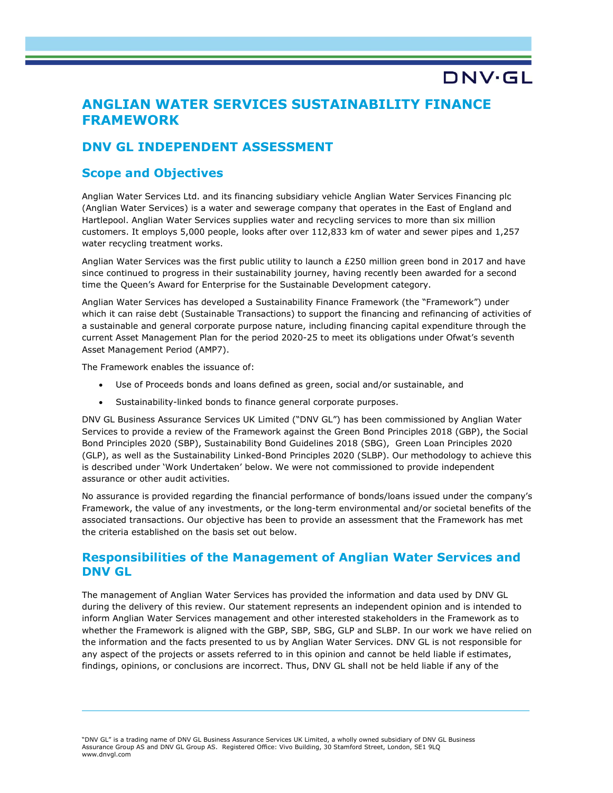# ANGLIAN WATER SERVICES SUSTAINABILITY FINANCE FRAMEWORK

DNV·GL

### DNV GL INDEPENDENT ASSESSMENT

### Scope and Objectives

Anglian Water Services Ltd. and its financing subsidiary vehicle Anglian Water Services Financing plc (Anglian Water Services) is a water and sewerage company that operates in the East of England and Hartlepool. Anglian Water Services supplies water and recycling services to more than six million customers. It employs 5,000 people, looks after over 112,833 km of water and sewer pipes and 1,257 water recycling treatment works.

Anglian Water Services was the first public utility to launch a £250 million green bond in 2017 and have since continued to progress in their sustainability journey, having recently been awarded for a second time the Queen's Award for Enterprise for the Sustainable Development category.

Anglian Water Services has developed a Sustainability Finance Framework (the "Framework") under which it can raise debt (Sustainable Transactions) to support the financing and refinancing of activities of a sustainable and general corporate purpose nature, including financing capital expenditure through the current Asset Management Plan for the period 2020-25 to meet its obligations under Ofwat's seventh Asset Management Period (AMP7).

The Framework enables the issuance of:

- Use of Proceeds bonds and loans defined as green, social and/or sustainable, and
- Sustainability-linked bonds to finance general corporate purposes.

DNV GL Business Assurance Services UK Limited ("DNV GL") has been commissioned by Anglian Water Services to provide a review of the Framework against the Green Bond Principles 2018 (GBP), the Social Bond Principles 2020 (SBP), Sustainability Bond Guidelines 2018 (SBG), Green Loan Principles 2020 (GLP), as well as the Sustainability Linked-Bond Principles 2020 (SLBP). Our methodology to achieve this is described under 'Work Undertaken' below. We were not commissioned to provide independent assurance or other audit activities.

No assurance is provided regarding the financial performance of bonds/loans issued under the company's Framework, the value of any investments, or the long-term environmental and/or societal benefits of the associated transactions. Our objective has been to provide an assessment that the Framework has met the criteria established on the basis set out below.

### Responsibilities of the Management of Anglian Water Services and DNV GL

The management of Anglian Water Services has provided the information and data used by DNV GL during the delivery of this review. Our statement represents an independent opinion and is intended to inform Anglian Water Services management and other interested stakeholders in the Framework as to whether the Framework is aligned with the GBP, SBP, SBG, GLP and SLBP. In our work we have relied on the information and the facts presented to us by Anglian Water Services. DNV GL is not responsible for any aspect of the projects or assets referred to in this opinion and cannot be held liable if estimates, findings, opinions, or conclusions are incorrect. Thus, DNV GL shall not be held liable if any of the

<sup>&</sup>quot;DNV GL" is a trading name of DNV GL Business Assurance Services UK Limited, a wholly owned subsidiary of DNV GL Business Assurance Group AS and DNV GL Group AS. Registered Office: Vivo Building, 30 Stamford Street, London, SE1 9LQ www.dnvgl.com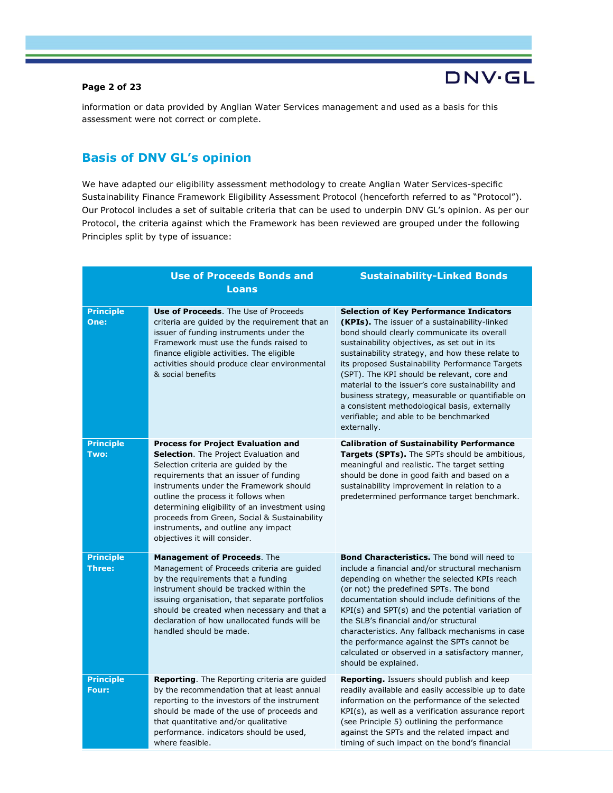#### Page 2 of 23

information or data provided by Anglian Water Services management and used as a basis for this assessment were not correct or complete.

**DNV·GL** 

### Basis of DNV GL's opinion

We have adapted our eligibility assessment methodology to create Anglian Water Services-specific Sustainability Finance Framework Eligibility Assessment Protocol (henceforth referred to as "Protocol"). Our Protocol includes a set of suitable criteria that can be used to underpin DNV GL's opinion. As per our Protocol, the criteria against which the Framework has been reviewed are grouped under the following Principles split by type of issuance:

|                                   | <b>Use of Proceeds Bonds and</b><br><b>Loans</b>                                                                                                                                                                                                                                                                                                                                                                               | <b>Sustainability-Linked Bonds</b>                                                                                                                                                                                                                                                                                                                                                                                                                                                                                                                                            |
|-----------------------------------|--------------------------------------------------------------------------------------------------------------------------------------------------------------------------------------------------------------------------------------------------------------------------------------------------------------------------------------------------------------------------------------------------------------------------------|-------------------------------------------------------------------------------------------------------------------------------------------------------------------------------------------------------------------------------------------------------------------------------------------------------------------------------------------------------------------------------------------------------------------------------------------------------------------------------------------------------------------------------------------------------------------------------|
| <b>Principle</b><br>One:          | <b>Use of Proceeds.</b> The Use of Proceeds<br>criteria are guided by the requirement that an<br>issuer of funding instruments under the<br>Framework must use the funds raised to<br>finance eligible activities. The eligible<br>activities should produce clear environmental<br>& social benefits                                                                                                                          | <b>Selection of Key Performance Indicators</b><br><b>(KPIs).</b> The issuer of a sustainability-linked<br>bond should clearly communicate its overall<br>sustainability objectives, as set out in its<br>sustainability strategy, and how these relate to<br>its proposed Sustainability Performance Targets<br>(SPT). The KPI should be relevant, core and<br>material to the issuer's core sustainability and<br>business strategy, measurable or quantifiable on<br>a consistent methodological basis, externally<br>verifiable; and able to be benchmarked<br>externally. |
| <b>Principle</b><br>Two:          | <b>Process for Project Evaluation and</b><br>Selection. The Project Evaluation and<br>Selection criteria are guided by the<br>requirements that an issuer of funding<br>instruments under the Framework should<br>outline the process it follows when<br>determining eligibility of an investment using<br>proceeds from Green, Social & Sustainability<br>instruments, and outline any impact<br>objectives it will consider. | <b>Calibration of Sustainability Performance</b><br>Targets (SPTs). The SPTs should be ambitious,<br>meaningful and realistic. The target setting<br>should be done in good faith and based on a<br>sustainability improvement in relation to a<br>predetermined performance target benchmark.                                                                                                                                                                                                                                                                                |
| <b>Principle</b><br><b>Three:</b> | <b>Management of Proceeds.</b> The<br>Management of Proceeds criteria are guided<br>by the requirements that a funding<br>instrument should be tracked within the<br>issuing organisation, that separate portfolios<br>should be created when necessary and that a<br>declaration of how unallocated funds will be<br>handled should be made.                                                                                  | <b>Bond Characteristics.</b> The bond will need to<br>include a financial and/or structural mechanism<br>depending on whether the selected KPIs reach<br>(or not) the predefined SPTs. The bond<br>documentation should include definitions of the<br>KPI(s) and SPT(s) and the potential variation of<br>the SLB's financial and/or structural<br>characteristics. Any fallback mechanisms in case<br>the performance against the SPTs cannot be<br>calculated or observed in a satisfactory manner,<br>should be explained.                                                 |
| <b>Principle</b><br>Four:         | <b>Reporting.</b> The Reporting criteria are guided<br>by the recommendation that at least annual<br>reporting to the investors of the instrument<br>should be made of the use of proceeds and<br>that quantitative and/or qualitative<br>performance. indicators should be used,<br>where feasible.                                                                                                                           | Reporting. Issuers should publish and keep<br>readily available and easily accessible up to date<br>information on the performance of the selected<br>KPI(s), as well as a verification assurance report<br>(see Principle 5) outlining the performance<br>against the SPTs and the related impact and<br>timing of such impact on the bond's financial                                                                                                                                                                                                                       |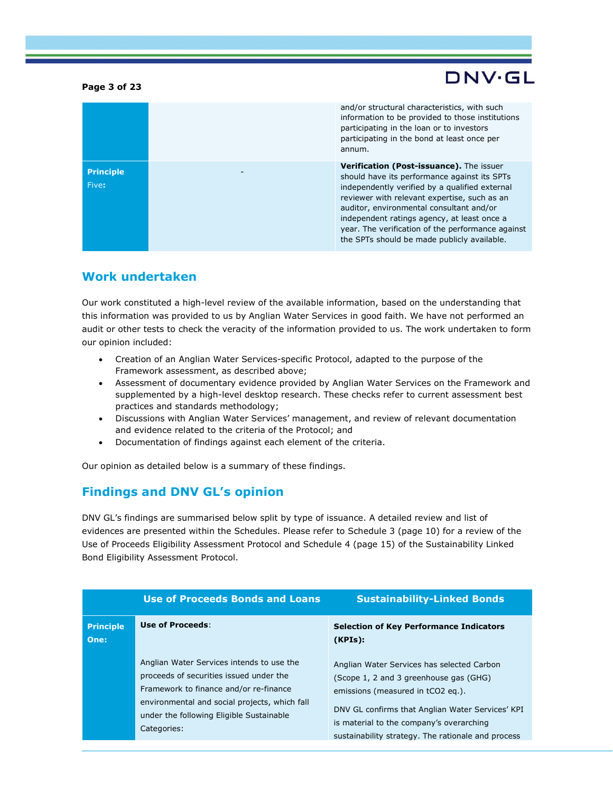#### Page 3 of 23

# DNV·GL

|                           | and/or structural characteristics, with such<br>information to be provided to those institutions<br>participating in the loan or to investors<br>participating in the bond at least once per<br>annum.                                                                                                                                                                                    |
|---------------------------|-------------------------------------------------------------------------------------------------------------------------------------------------------------------------------------------------------------------------------------------------------------------------------------------------------------------------------------------------------------------------------------------|
| <b>Principle</b><br>Five: | Verification (Post-issuance). The issuer<br>should have its performance against its SPTs<br>independently verified by a qualified external<br>reviewer with relevant expertise, such as an<br>auditor, environmental consultant and/or<br>independent ratings agency, at least once a<br>year. The verification of the performance against<br>the SPTs should be made publicly available. |

### Work undertaken

Our work constituted a high-level review of the available information, based on the understanding that this information was provided to us by Anglian Water Services in good faith. We have not performed an audit or other tests to check the veracity of the information provided to us. The work undertaken to form our opinion included:

- Creation of an Anglian Water Services-specific Protocol, adapted to the purpose of the Framework assessment, as described above;
- Assessment of documentary evidence provided by Anglian Water Services on the Framework and supplemented by a high-level desktop research. These checks refer to current assessment best practices and standards methodology;
- Discussions with Anglian Water Services' management, and review of relevant documentation and evidence related to the criteria of the Protocol; and
- Documentation of findings against each element of the criteria.

Our opinion as detailed below is a summary of these findings.

### Findings and DNV GL's opinion

DNV GL's findings are summarised below split by type of issuance. A detailed review and list of evidences are presented within the Schedules. Please refer to Schedule 3 (page 10) for a review of the Use of Proceeds Eligibility Assessment Protocol and Schedule 4 (page 15) of the Sustainability Linked Bond Eligibility Assessment Protocol.

|                          | <b>Use of Proceeds Bonds and Loans</b>                                                                                                                                                                                                     | <b>Sustainability-Linked Bonds</b>                                                                                                                                                                                                                                              |
|--------------------------|--------------------------------------------------------------------------------------------------------------------------------------------------------------------------------------------------------------------------------------------|---------------------------------------------------------------------------------------------------------------------------------------------------------------------------------------------------------------------------------------------------------------------------------|
| <b>Principle</b><br>One: | <b>Use of Proceeds:</b>                                                                                                                                                                                                                    | <b>Selection of Key Performance Indicators</b><br>(KPIs):                                                                                                                                                                                                                       |
|                          | Anglian Water Services intends to use the<br>proceeds of securities issued under the<br>Framework to finance and/or re-finance<br>environmental and social projects, which fall<br>under the following Eligible Sustainable<br>Categories: | Anglian Water Services has selected Carbon<br>(Scope 1, 2 and 3 greenhouse gas (GHG)<br>emissions (measured in tCO2 eq.).<br>DNV GL confirms that Anglian Water Services' KPI<br>is material to the company's overarching<br>sustainability strategy. The rationale and process |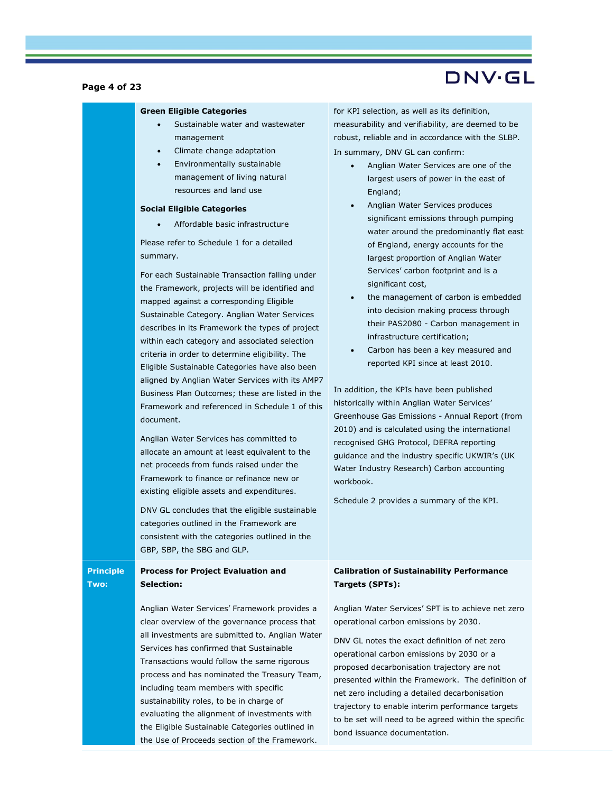#### Page 4 of 23

# DNV·GL

#### Green Eligible Categories

- Sustainable water and wastewater management
- Climate change adaptation
- Environmentally sustainable management of living natural resources and land use

#### Social Eligible Categories

Affordable basic infrastructure

Please refer to Schedule 1 for a detailed summary.

For each Sustainable Transaction falling under the Framework, projects will be identified and mapped against a corresponding Eligible Sustainable Category. Anglian Water Services describes in its Framework the types of project within each category and associated selection criteria in order to determine eligibility. The Eligible Sustainable Categories have also been aligned by Anglian Water Services with its AMP7 Business Plan Outcomes; these are listed in the Framework and referenced in Schedule 1 of this document.

Anglian Water Services has committed to allocate an amount at least equivalent to the net proceeds from funds raised under the Framework to finance or refinance new or existing eligible assets and expenditures.

DNV GL concludes that the eligible sustainable categories outlined in the Framework are consistent with the categories outlined in the GBP, SBP, the SBG and GLP.

Principle Two: Process for Project Evaluation and Selection:

> Anglian Water Services' Framework provides a clear overview of the governance process that all investments are submitted to. Anglian Water Services has confirmed that Sustainable Transactions would follow the same rigorous process and has nominated the Treasury Team, including team members with specific sustainability roles, to be in charge of evaluating the alignment of investments with the Eligible Sustainable Categories outlined in the Use of Proceeds section of the Framework.

for KPI selection, as well as its definition, measurability and verifiability, are deemed to be robust, reliable and in accordance with the SLBP. In summary, DNV GL can confirm:

- Anglian Water Services are one of the largest users of power in the east of England;
- Anglian Water Services produces significant emissions through pumping water around the predominantly flat east of England, energy accounts for the largest proportion of Anglian Water Services' carbon footprint and is a significant cost,
- the management of carbon is embedded into decision making process through their PAS2080 - Carbon management in infrastructure certification;
- Carbon has been a key measured and reported KPI since at least 2010.

In addition, the KPIs have been published historically within Anglian Water Services' Greenhouse Gas Emissions - Annual Report (from 2010) and is calculated using the international recognised GHG Protocol, DEFRA reporting guidance and the industry specific UKWIR's (UK Water Industry Research) Carbon accounting workbook.

Schedule 2 provides a summary of the KPI.

#### Calibration of Sustainability Performance Targets (SPTs):

Anglian Water Services' SPT is to achieve net zero operational carbon emissions by 2030.

DNV GL notes the exact definition of net zero operational carbon emissions by 2030 or a proposed decarbonisation trajectory are not presented within the Framework. The definition of net zero including a detailed decarbonisation trajectory to enable interim performance targets to be set will need to be agreed within the specific bond issuance documentation.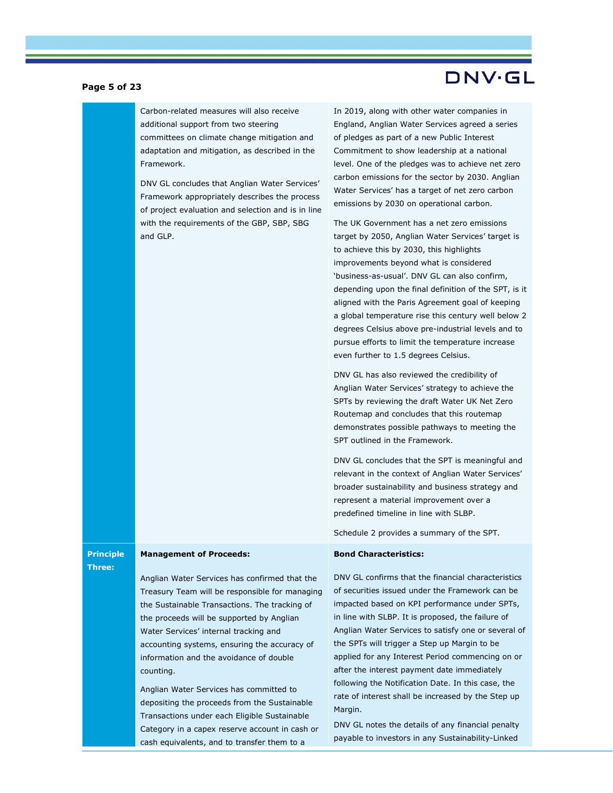#### Page 5 of 23

Carbon-related measures will also receive additional support from two steering committees on climate change mitigation and adaptation and mitigation, as described in the Framework.

DNV GL concludes that Anglian Water Services' Framework appropriately describes the process of project evaluation and selection and is in line with the requirements of the GBP, SBP, SBG and GLP.

In 2019, along with other water companies in England, Anglian Water Services agreed a series of pledges as part of a new Public Interest Commitment to show leadership at a national level. One of the pledges was to achieve net zero carbon emissions for the sector by 2030. Anglian Water Services' has a target of net zero carbon emissions by 2030 on operational carbon.

DNV·GL

The UK Government has a net zero emissions target by 2050, Anglian Water Services' target is to achieve this by 2030, this highlights improvements beyond what is considered 'business-as-usual'. DNV GL can also confirm, depending upon the final definition of the SPT, is it aligned with the Paris Agreement goal of keeping a global temperature rise this century well below 2 degrees Celsius above pre-industrial levels and to pursue efforts to limit the temperature increase even further to 1.5 degrees Celsius.

DNV GL has also reviewed the credibility of Anglian Water Services' strategy to achieve the SPTs by reviewing the draft Water UK Net Zero Routemap and concludes that this routemap demonstrates possible pathways to meeting the SPT outlined in the Framework.

DNV GL concludes that the SPT is meaningful and relevant in the context of Anglian Water Services' broader sustainability and business strategy and represent a material improvement over a predefined timeline in line with SLBP.

Schedule 2 provides a summary of the SPT.

#### Bond Characteristics:

### Management of Proceeds:

Anglian Water Services has confirmed that the Treasury Team will be responsible for managing the Sustainable Transactions. The tracking of the proceeds will be supported by Anglian Water Services' internal tracking and accounting systems, ensuring the accuracy of information and the avoidance of double counting.

Anglian Water Services has committed to depositing the proceeds from the Sustainable Transactions under each Eligible Sustainable Category in a capex reserve account in cash or cash equivalents, and to transfer them to a

DNV GL confirms that the financial characteristics of securities issued under the Framework can be impacted based on KPI performance under SPTs, in line with SLBP. It is proposed, the failure of Anglian Water Services to satisfy one or several of the SPTs will trigger a Step up Margin to be applied for any Interest Period commencing on or after the interest payment date immediately following the Notification Date. In this case, the rate of interest shall be increased by the Step up Margin.

DNV GL notes the details of any financial penalty payable to investors in any Sustainability-Linked

**Principle** Three: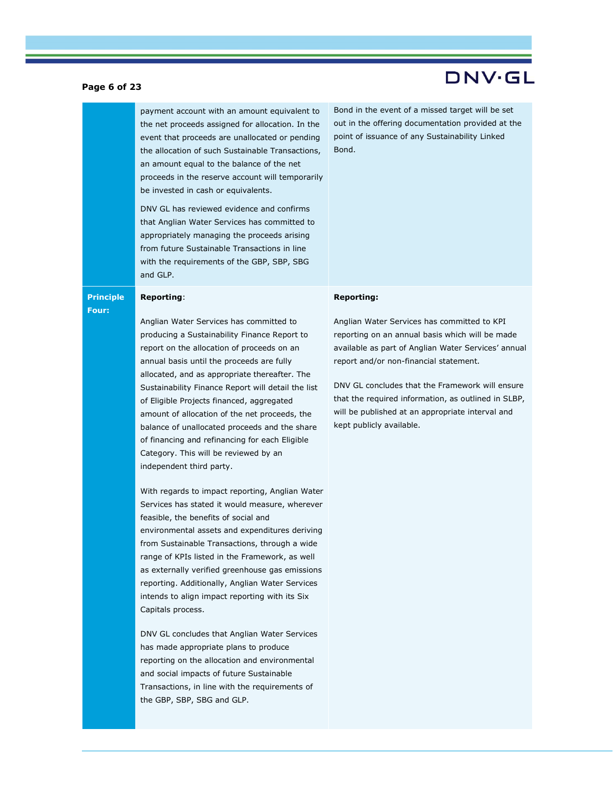#### Page 6 of 23

payment account with an amount equivalent to the net proceeds assigned for allocation. In the event that proceeds are unallocated or pending the allocation of such Sustainable Transactions, an amount equal to the balance of the net proceeds in the reserve account will temporarily be invested in cash or equivalents.

DNV GL has reviewed evidence and confirms that Anglian Water Services has committed to appropriately managing the proceeds arising from future Sustainable Transactions in line with the requirements of the GBP, SBP, SBG and GLP.

Bond in the event of a missed target will be set out in the offering documentation provided at the point of issuance of any Sustainability Linked Bond.

#### Reporting:

Principle Four:

> Anglian Water Services has committed to producing a Sustainability Finance Report to report on the allocation of proceeds on an annual basis until the proceeds are fully allocated, and as appropriate thereafter. The Sustainability Finance Report will detail the list of Eligible Projects financed, aggregated amount of allocation of the net proceeds, the balance of unallocated proceeds and the share of financing and refinancing for each Eligible Category. This will be reviewed by an independent third party.

With regards to impact reporting, Anglian Water Services has stated it would measure, wherever feasible, the benefits of social and environmental assets and expenditures deriving from Sustainable Transactions, through a wide range of KPIs listed in the Framework, as well as externally verified greenhouse gas emissions reporting. Additionally, Anglian Water Services intends to align impact reporting with its Six Capitals process.

DNV GL concludes that Anglian Water Services has made appropriate plans to produce reporting on the allocation and environmental and social impacts of future Sustainable Transactions, in line with the requirements of the GBP, SBP, SBG and GLP.

#### Reporting:

Anglian Water Services has committed to KPI reporting on an annual basis which will be made available as part of Anglian Water Services' annual report and/or non-financial statement.

DNV GL concludes that the Framework will ensure that the required information, as outlined in SLBP, will be published at an appropriate interval and kept publicly available.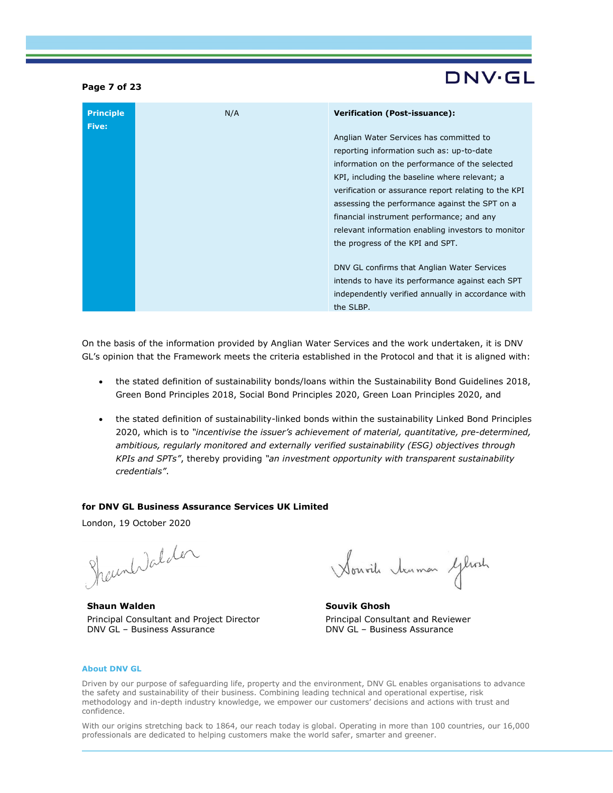#### Page 7 of 23

# DNV·GL

| <b>Principle</b><br><b>Five:</b> | N/A | <b>Verification (Post-issuance):</b>                 |
|----------------------------------|-----|------------------------------------------------------|
|                                  |     | Anglian Water Services has committed to              |
|                                  |     | reporting information such as: up-to-date            |
|                                  |     | information on the performance of the selected       |
|                                  |     | KPI, including the baseline where relevant; a        |
|                                  |     | verification or assurance report relating to the KPI |
|                                  |     | assessing the performance against the SPT on a       |
|                                  |     | financial instrument performance; and any            |
|                                  |     | relevant information enabling investors to monitor   |
|                                  |     | the progress of the KPI and SPT.                     |
|                                  |     |                                                      |
|                                  |     | DNV GL confirms that Anglian Water Services          |
|                                  |     | intends to have its performance against each SPT     |
|                                  |     | independently verified annually in accordance with   |
|                                  |     | the SLBP.                                            |

On the basis of the information provided by Anglian Water Services and the work undertaken, it is DNV GL's opinion that the Framework meets the criteria established in the Protocol and that it is aligned with:

- the stated definition of sustainability bonds/loans within the Sustainability Bond Guidelines 2018, Green Bond Principles 2018, Social Bond Principles 2020, Green Loan Principles 2020, and
- the stated definition of sustainability-linked bonds within the sustainability Linked Bond Principles 2020, which is to "incentivise the issuer's achievement of material, quantitative, pre-determined, ambitious, regularly monitored and externally verified sustainability (ESG) objectives through KPIs and SPTs", thereby providing "an investment opportunity with transparent sustainability credentials".

#### for DNV GL Business Assurance Services UK Limited

London, 19 October 2020

Shaunholalder

Shaun Walden Principal Consultant and Project Director DNV GL – Business Assurance

Nouvil tenmon Gleoch

Souvik Ghosh Principal Consultant and Reviewer DNV GL – Business Assurance

#### About DNV GL

Driven by our purpose of safeguarding life, property and the environment, DNV GL enables organisations to advance the safety and sustainability of their business. Combining leading technical and operational expertise, risk methodology and in-depth industry knowledge, we empower our customers' decisions and actions with trust and confidence.

With our origins stretching back to 1864, our reach today is global. Operating in more than 100 countries, our 16,000 professionals are dedicated to helping customers make the world safer, smarter and greener.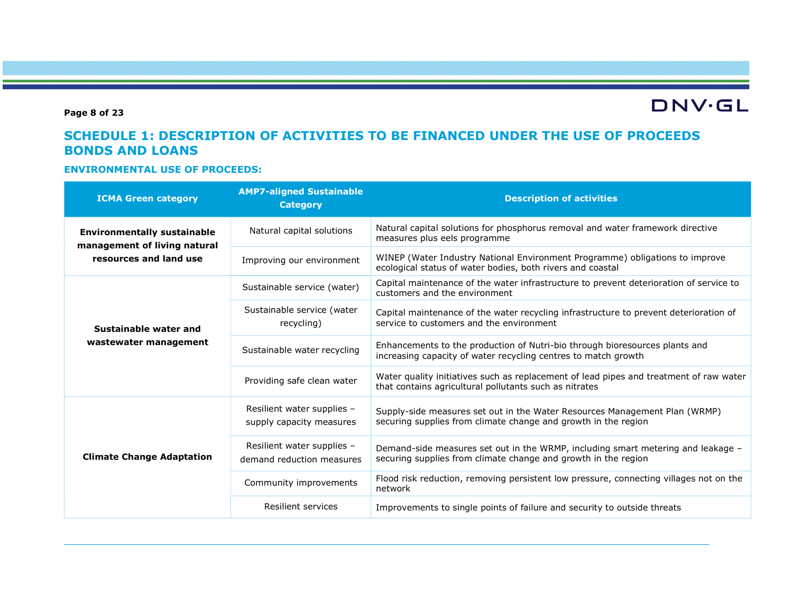Page 8 of 23

**DNV·GL** 

### SCHEDULE 1: DESCRIPTION OF ACTIVITIES TO BE FINANCED UNDER THE USE OF PROCEEDS BONDS AND LOANS

#### ENVIRONMENTAL USE OF PROCEEDS:

| <b>ICMA Green category</b>                                         | <b>AMP7-aligned Sustainable</b><br><b>Category</b>      | <b>Description of activities</b>                                                                                                                   |
|--------------------------------------------------------------------|---------------------------------------------------------|----------------------------------------------------------------------------------------------------------------------------------------------------|
| <b>Environmentally sustainable</b><br>management of living natural | Natural capital solutions                               | Natural capital solutions for phosphorus removal and water framework directive<br>measures plus eels programme                                     |
| resources and land use                                             | Improving our environment                               | WINEP (Water Industry National Environment Programme) obligations to improve<br>ecological status of water bodies, both rivers and coastal         |
|                                                                    | Sustainable service (water)                             | Capital maintenance of the water infrastructure to prevent deterioration of service to<br>customers and the environment                            |
| Sustainable water and                                              | Sustainable service (water<br>recycling)                | Capital maintenance of the water recycling infrastructure to prevent deterioration of<br>service to customers and the environment                  |
| wastewater management                                              | Sustainable water recycling                             | Enhancements to the production of Nutri-bio through bioresources plants and<br>increasing capacity of water recycling centres to match growth      |
|                                                                    | Providing safe clean water                              | Water quality initiatives such as replacement of lead pipes and treatment of raw water<br>that contains agricultural pollutants such as nitrates   |
|                                                                    | Resilient water supplies -<br>supply capacity measures  | Supply-side measures set out in the Water Resources Management Plan (WRMP)<br>securing supplies from climate change and growth in the region       |
| <b>Climate Change Adaptation</b>                                   | Resilient water supplies -<br>demand reduction measures | Demand-side measures set out in the WRMP, including smart metering and leakage -<br>securing supplies from climate change and growth in the region |
|                                                                    | Community improvements                                  | Flood risk reduction, removing persistent low pressure, connecting villages not on the<br>network                                                  |
|                                                                    | Resilient services                                      | Improvements to single points of failure and security to outside threats                                                                           |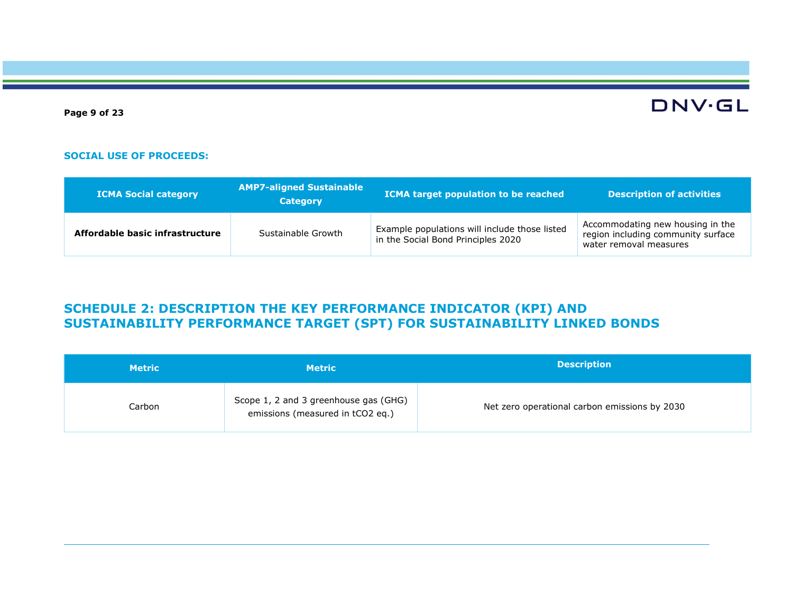Page 9 of 23

# **DNV·GL**

#### SOCIAL USE OF PROCEEDS:

| <b>ICMA Social category</b>     | <b>AMP7-aligned Sustainable</b><br><b>Category</b> | ICMA target population to be reached                                                | <b>Description of activities</b>                                                                 |
|---------------------------------|----------------------------------------------------|-------------------------------------------------------------------------------------|--------------------------------------------------------------------------------------------------|
| Affordable basic infrastructure | Sustainable Growth                                 | Example populations will include those listed<br>in the Social Bond Principles 2020 | Accommodating new housing in the<br>region including community surface<br>water removal measures |

## SCHEDULE 2: DESCRIPTION THE KEY PERFORMANCE INDICATOR (KPI) AND SUSTAINABILITY PERFORMANCE TARGET (SPT) FOR SUSTAINABILITY LINKED BONDS

| <b>Metric</b> | <b>Metric</b>                                                             | <b>Description</b>                            |
|---------------|---------------------------------------------------------------------------|-----------------------------------------------|
| Carbon        | Scope 1, 2 and 3 greenhouse gas (GHG)<br>emissions (measured in tCO2 eq.) | Net zero operational carbon emissions by 2030 |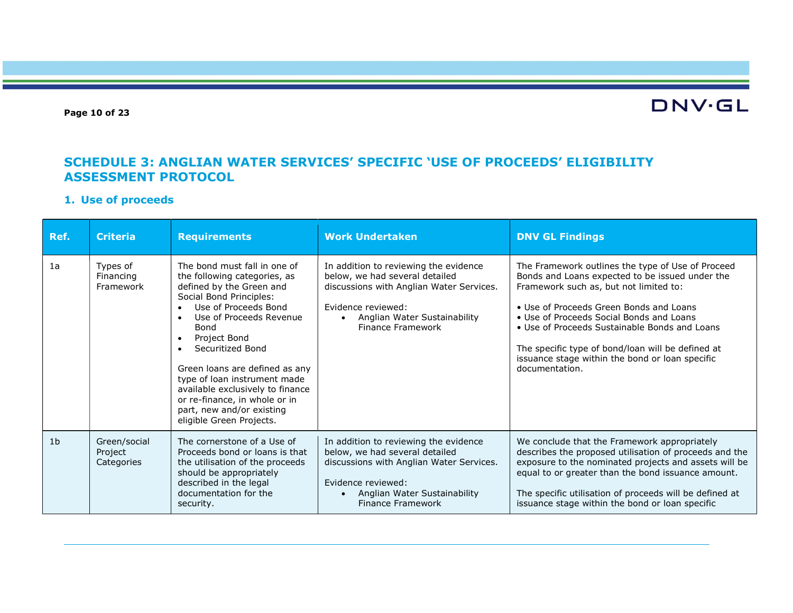#### Page 10 of 23

# **DNV·GL**

### SCHEDULE 3: ANGLIAN WATER SERVICES' SPECIFIC 'USE OF PROCEEDS' ELIGIBILITY ASSESSMENT PROTOCOL

#### 1. Use of proceeds

| Ref.           | <b>Criteria</b>                       | <b>Requirements</b>                                                                                                                                                                                                                                                                                                                                                                                                                                       | <b>Work Undertaken</b>                                                                                                                                                                                      | <b>DNV GL Findings</b>                                                                                                                                                                                                                                                                                                                                                                                           |
|----------------|---------------------------------------|-----------------------------------------------------------------------------------------------------------------------------------------------------------------------------------------------------------------------------------------------------------------------------------------------------------------------------------------------------------------------------------------------------------------------------------------------------------|-------------------------------------------------------------------------------------------------------------------------------------------------------------------------------------------------------------|------------------------------------------------------------------------------------------------------------------------------------------------------------------------------------------------------------------------------------------------------------------------------------------------------------------------------------------------------------------------------------------------------------------|
| 1a             | Types of<br>Financing<br>Framework    | The bond must fall in one of<br>the following categories, as<br>defined by the Green and<br>Social Bond Principles:<br>Use of Proceeds Bond<br>Use of Proceeds Revenue<br>$\bullet$<br>Bond<br>Project Bond<br>$\bullet$<br>Securitized Bond<br>$\bullet$<br>Green loans are defined as any<br>type of loan instrument made<br>available exclusively to finance<br>or re-finance, in whole or in<br>part, new and/or existing<br>eligible Green Projects. | In addition to reviewing the evidence<br>below, we had several detailed<br>discussions with Anglian Water Services.<br>Evidence reviewed:<br>Anglian Water Sustainability<br>$\bullet$<br>Finance Framework | The Framework outlines the type of Use of Proceed<br>Bonds and Loans expected to be issued under the<br>Framework such as, but not limited to:<br>• Use of Proceeds Green Bonds and Loans<br>• Use of Proceeds Social Bonds and Loans<br>• Use of Proceeds Sustainable Bonds and Loans<br>The specific type of bond/loan will be defined at<br>issuance stage within the bond or loan specific<br>documentation. |
| 1 <sub>b</sub> | Green/social<br>Project<br>Categories | The cornerstone of a Use of<br>Proceeds bond or loans is that<br>the utilisation of the proceeds<br>should be appropriately<br>described in the legal<br>documentation for the<br>security.                                                                                                                                                                                                                                                               | In addition to reviewing the evidence<br>below, we had several detailed<br>discussions with Anglian Water Services.<br>Evidence reviewed:<br>Anglian Water Sustainability<br>$\bullet$<br>Finance Framework | We conclude that the Framework appropriately<br>describes the proposed utilisation of proceeds and the<br>exposure to the nominated projects and assets will be<br>equal to or greater than the bond issuance amount.<br>The specific utilisation of proceeds will be defined at<br>issuance stage within the bond or loan specific                                                                              |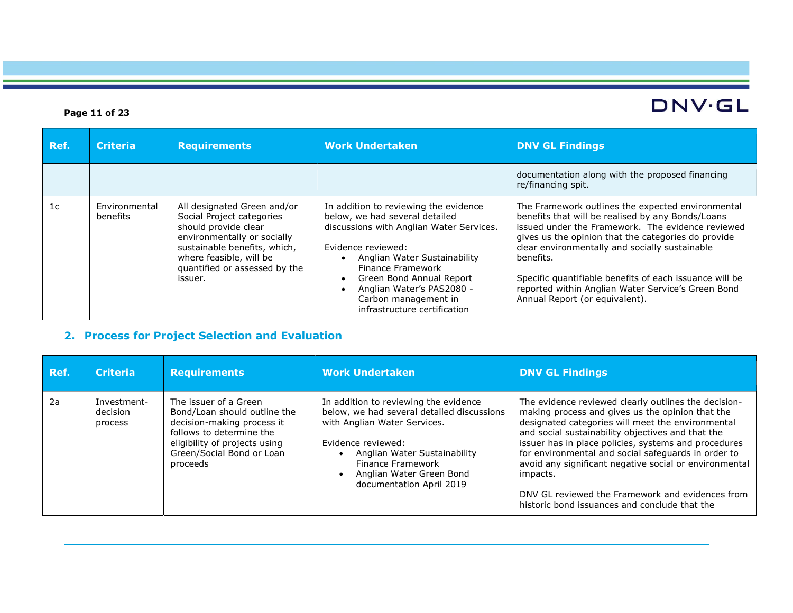### Page 11 of 23

| Ref.           | <b>Criteria</b>           | <b>Requirements</b>                                                                                                                                                                                                    | <b>Work Undertaken</b>                                                                                                                                                                                                                                                                                          | <b>DNV GL Findings</b>                                                                                                                                                                                                                                                                                                                                                                                                               |
|----------------|---------------------------|------------------------------------------------------------------------------------------------------------------------------------------------------------------------------------------------------------------------|-----------------------------------------------------------------------------------------------------------------------------------------------------------------------------------------------------------------------------------------------------------------------------------------------------------------|--------------------------------------------------------------------------------------------------------------------------------------------------------------------------------------------------------------------------------------------------------------------------------------------------------------------------------------------------------------------------------------------------------------------------------------|
|                |                           |                                                                                                                                                                                                                        |                                                                                                                                                                                                                                                                                                                 | documentation along with the proposed financing<br>re/financing spit.                                                                                                                                                                                                                                                                                                                                                                |
| 1 <sub>C</sub> | Environmental<br>benefits | All designated Green and/or<br>Social Project categories<br>should provide clear<br>environmentally or socially<br>sustainable benefits, which,<br>where feasible, will be<br>quantified or assessed by the<br>issuer. | In addition to reviewing the evidence<br>below, we had several detailed<br>discussions with Anglian Water Services.<br>Evidence reviewed:<br>Anglian Water Sustainability<br>Finance Framework<br>Green Bond Annual Report<br>Anglian Water's PAS2080 -<br>Carbon management in<br>infrastructure certification | The Framework outlines the expected environmental<br>benefits that will be realised by any Bonds/Loans<br>issued under the Framework. The evidence reviewed<br>gives us the opinion that the categories do provide<br>clear environmentally and socially sustainable<br>benefits.<br>Specific quantifiable benefits of each issuance will be<br>reported within Anglian Water Service's Green Bond<br>Annual Report (or equivalent). |

# 2. Process for Project Selection and Evaluation

| Ref. | <b>Criteria</b>                    | <b>Requirements</b>                                                                                                                                                                       | <b>Work Undertaken</b>                                                                                                                                                                                                                                 | <b>DNV GL Findings</b>                                                                                                                                                                                                                                                                                                                                                                                                                                                                                       |
|------|------------------------------------|-------------------------------------------------------------------------------------------------------------------------------------------------------------------------------------------|--------------------------------------------------------------------------------------------------------------------------------------------------------------------------------------------------------------------------------------------------------|--------------------------------------------------------------------------------------------------------------------------------------------------------------------------------------------------------------------------------------------------------------------------------------------------------------------------------------------------------------------------------------------------------------------------------------------------------------------------------------------------------------|
| 2a   | Investment-<br>decision<br>process | The issuer of a Green<br>Bond/Loan should outline the<br>decision-making process it<br>follows to determine the<br>eligibility of projects using<br>Green/Social Bond or Loan<br>proceeds | In addition to reviewing the evidence<br>below, we had several detailed discussions<br>with Anglian Water Services.<br>Evidence reviewed:<br>Anglian Water Sustainability<br>Finance Framework<br>Anglian Water Green Bond<br>documentation April 2019 | The evidence reviewed clearly outlines the decision-<br>making process and gives us the opinion that the<br>designated categories will meet the environmental<br>and social sustainability objectives and that the<br>issuer has in place policies, systems and procedures<br>for environmental and social safeguards in order to<br>avoid any significant negative social or environmental<br>impacts.<br>DNV GL reviewed the Framework and evidences from<br>historic bond issuances and conclude that the |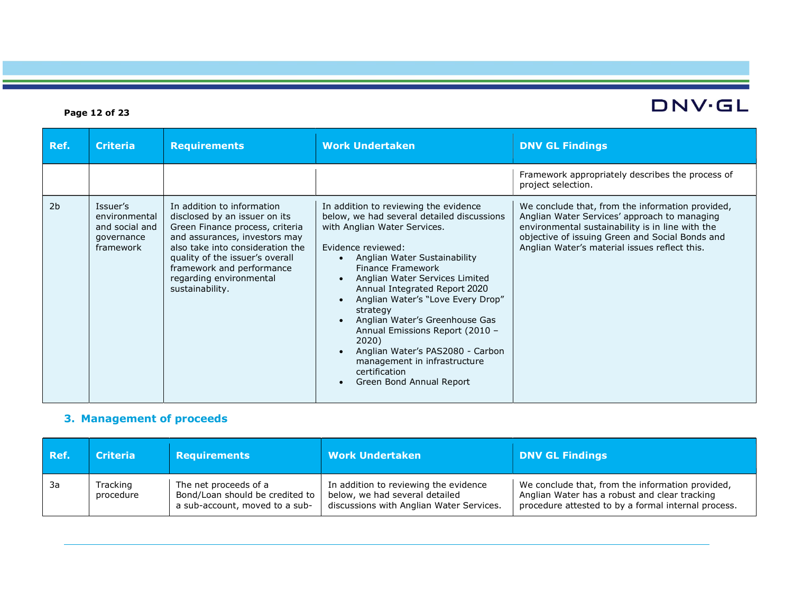### Page 12 of 23

| Ref.           | <b>Criteria</b>                                                        | <b>Requirements</b>                                                                                                                                                                                                                                                               | <b>Work Undertaken</b>                                                                                                                                                                                                                                                                                                                                                                                                                                                                                                         | <b>DNV GL Findings</b>                                                                                                                                                                                                                                   |
|----------------|------------------------------------------------------------------------|-----------------------------------------------------------------------------------------------------------------------------------------------------------------------------------------------------------------------------------------------------------------------------------|--------------------------------------------------------------------------------------------------------------------------------------------------------------------------------------------------------------------------------------------------------------------------------------------------------------------------------------------------------------------------------------------------------------------------------------------------------------------------------------------------------------------------------|----------------------------------------------------------------------------------------------------------------------------------------------------------------------------------------------------------------------------------------------------------|
|                |                                                                        |                                                                                                                                                                                                                                                                                   |                                                                                                                                                                                                                                                                                                                                                                                                                                                                                                                                | Framework appropriately describes the process of<br>project selection.                                                                                                                                                                                   |
| 2 <sub>b</sub> | Issuer's<br>environmental<br>and social and<br>governance<br>framework | In addition to information<br>disclosed by an issuer on its<br>Green Finance process, criteria<br>and assurances, investors may<br>also take into consideration the<br>quality of the issuer's overall<br>framework and performance<br>regarding environmental<br>sustainability. | In addition to reviewing the evidence<br>below, we had several detailed discussions<br>with Anglian Water Services.<br>Evidence reviewed:<br>Anglian Water Sustainability<br>Finance Framework<br>Anglian Water Services Limited<br>$\bullet$<br>Annual Integrated Report 2020<br>Anglian Water's "Love Every Drop"<br>strategy<br>Anglian Water's Greenhouse Gas<br>Annual Emissions Report (2010 -<br>2020)<br>Anglian Water's PAS2080 - Carbon<br>management in infrastructure<br>certification<br>Green Bond Annual Report | We conclude that, from the information provided,<br>Anglian Water Services' approach to managing<br>environmental sustainability is in line with the<br>objective of issuing Green and Social Bonds and<br>Anglian Water's material issues reflect this. |

## 3. Management of proceeds

| Ref. | <b>Criteria</b>       | <b>Requirements</b>                                                                        | <b>Work Undertaken</b>                                                                                              | <b>DNV GL Findings</b>                                                                                                                                   |
|------|-----------------------|--------------------------------------------------------------------------------------------|---------------------------------------------------------------------------------------------------------------------|----------------------------------------------------------------------------------------------------------------------------------------------------------|
| - 3a | Tracking<br>procedure | The net proceeds of a<br>Bond/Loan should be credited to<br>a sub-account, moved to a sub- | In addition to reviewing the evidence<br>below, we had several detailed<br>discussions with Anglian Water Services. | We conclude that, from the information provided,<br>Anglian Water has a robust and clear tracking<br>procedure attested to by a formal internal process. |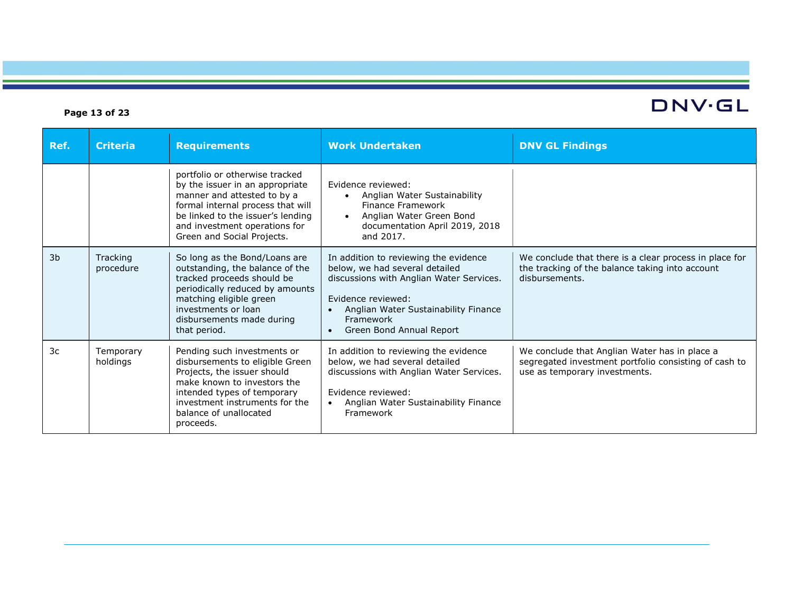### Page 13 of 23

# DNV·GL

| Ref.           | <b>Criteria</b>       | <b>Requirements</b>                                                                                                                                                                                                                       | <b>Work Undertaken</b>                                                                                                                                                                                                                               | <b>DNV GL Findings</b>                                                                                                                  |
|----------------|-----------------------|-------------------------------------------------------------------------------------------------------------------------------------------------------------------------------------------------------------------------------------------|------------------------------------------------------------------------------------------------------------------------------------------------------------------------------------------------------------------------------------------------------|-----------------------------------------------------------------------------------------------------------------------------------------|
|                |                       | portfolio or otherwise tracked<br>by the issuer in an appropriate<br>manner and attested to by a<br>formal internal process that will<br>be linked to the issuer's lending<br>and investment operations for<br>Green and Social Projects. | Evidence reviewed:<br>Anglian Water Sustainability<br>Finance Framework<br>Anglian Water Green Bond<br>$\bullet$<br>documentation April 2019, 2018<br>and 2017.                                                                                      |                                                                                                                                         |
| 3 <sub>b</sub> | Tracking<br>procedure | So long as the Bond/Loans are<br>outstanding, the balance of the<br>tracked proceeds should be<br>periodically reduced by amounts<br>matching eligible green<br>investments or loan<br>disbursements made during<br>that period.          | In addition to reviewing the evidence<br>below, we had several detailed<br>discussions with Anglian Water Services.<br>Evidence reviewed:<br>Anglian Water Sustainability Finance<br>$\bullet$<br>Framework<br>Green Bond Annual Report<br>$\bullet$ | We conclude that there is a clear process in place for<br>the tracking of the balance taking into account<br>disbursements.             |
| 3c             | Temporary<br>holdings | Pending such investments or<br>disbursements to eligible Green<br>Projects, the issuer should<br>make known to investors the<br>intended types of temporary<br>investment instruments for the<br>balance of unallocated<br>proceeds.      | In addition to reviewing the evidence<br>below, we had several detailed<br>discussions with Anglian Water Services.<br>Evidence reviewed:<br>Anglian Water Sustainability Finance<br>$\bullet$<br>Framework                                          | We conclude that Anglian Water has in place a<br>segregated investment portfolio consisting of cash to<br>use as temporary investments. |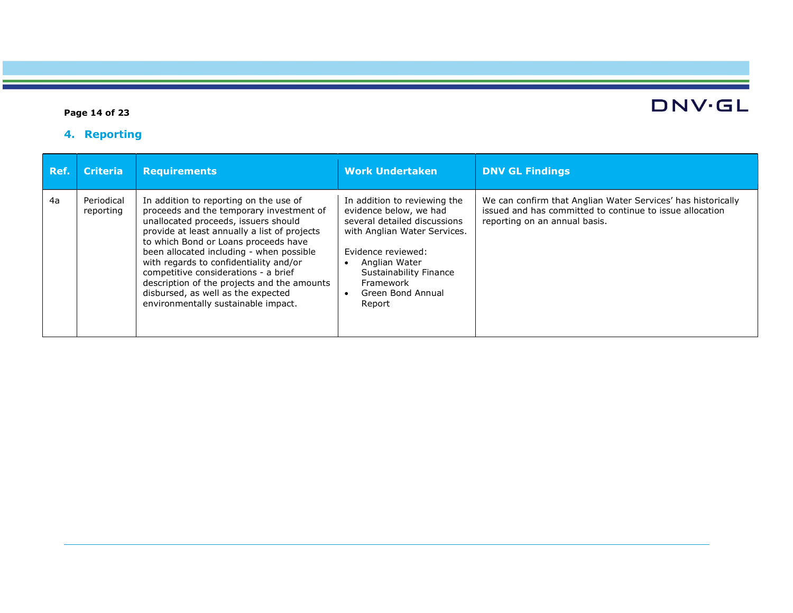### Page 14 of 23

# 4. Reporting

| Ref. | <b>Criteria</b>         | <b>Requirements</b>                                                                                                                                                                                                                                                                                                                                                                                                                                                          | <b>Work Undertaken</b>                                                                                                                                                                                                                     | <b>DNV GL Findings</b>                                                                                                                                    |
|------|-------------------------|------------------------------------------------------------------------------------------------------------------------------------------------------------------------------------------------------------------------------------------------------------------------------------------------------------------------------------------------------------------------------------------------------------------------------------------------------------------------------|--------------------------------------------------------------------------------------------------------------------------------------------------------------------------------------------------------------------------------------------|-----------------------------------------------------------------------------------------------------------------------------------------------------------|
| 4a   | Periodical<br>reporting | In addition to reporting on the use of<br>proceeds and the temporary investment of<br>unallocated proceeds, issuers should<br>provide at least annually a list of projects<br>to which Bond or Loans proceeds have<br>been allocated including - when possible<br>with regards to confidentiality and/or<br>competitive considerations - a brief<br>description of the projects and the amounts<br>disbursed, as well as the expected<br>environmentally sustainable impact. | In addition to reviewing the<br>evidence below, we had<br>several detailed discussions<br>with Anglian Water Services.<br>Evidence reviewed:<br>Anglian Water<br><b>Sustainability Finance</b><br>Framework<br>Green Bond Annual<br>Report | We can confirm that Anglian Water Services' has historically<br>issued and has committed to continue to issue allocation<br>reporting on an annual basis. |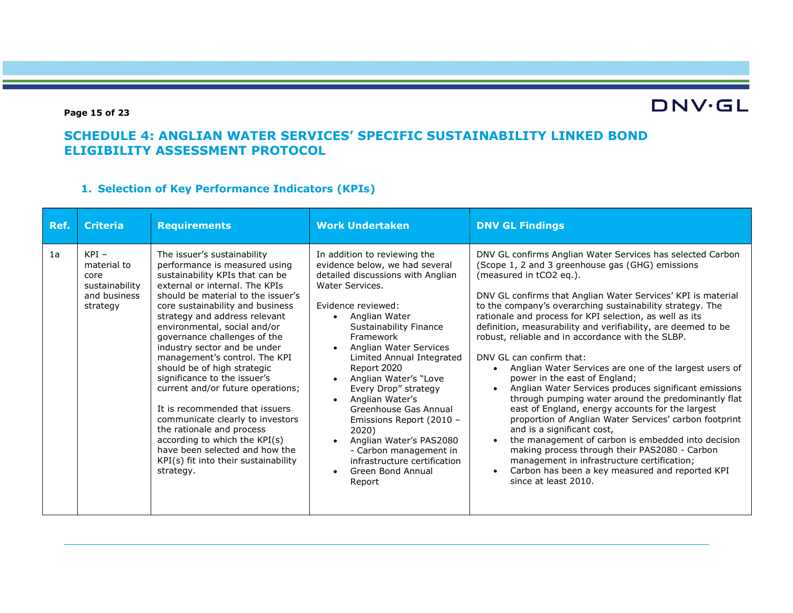#### Page 15 of 23

# **DNV·GL**

### SCHEDULE 4: ANGLIAN WATER SERVICES' SPECIFIC SUSTAINABILITY LINKED BOND ELIGIBILITY ASSESSMENT PROTOCOL

### 1. Selection of Key Performance Indicators (KPIs)

| Ref. | <b>Criteria</b>                                                              | <b>Requirements</b>                                                                                                                                                                                                                                                                                                                                                                                                                                                                                                                                                                                                                                                                                          | <b>Work Undertaken</b>                                                                                                                                                                                                                                                                                                                                                                                                                                                                                                                  | <b>DNV GL Findings</b>                                                                                                                                                                                                                                                                                                                                                                                                                                                                                                                                                                                                                                                                                                                                                                                                                                                                                                                                                                                                                                                      |
|------|------------------------------------------------------------------------------|--------------------------------------------------------------------------------------------------------------------------------------------------------------------------------------------------------------------------------------------------------------------------------------------------------------------------------------------------------------------------------------------------------------------------------------------------------------------------------------------------------------------------------------------------------------------------------------------------------------------------------------------------------------------------------------------------------------|-----------------------------------------------------------------------------------------------------------------------------------------------------------------------------------------------------------------------------------------------------------------------------------------------------------------------------------------------------------------------------------------------------------------------------------------------------------------------------------------------------------------------------------------|-----------------------------------------------------------------------------------------------------------------------------------------------------------------------------------------------------------------------------------------------------------------------------------------------------------------------------------------------------------------------------------------------------------------------------------------------------------------------------------------------------------------------------------------------------------------------------------------------------------------------------------------------------------------------------------------------------------------------------------------------------------------------------------------------------------------------------------------------------------------------------------------------------------------------------------------------------------------------------------------------------------------------------------------------------------------------------|
| 1a   | $KPI -$<br>material to<br>core<br>sustainability<br>and business<br>strategy | The issuer's sustainability<br>performance is measured using<br>sustainability KPIs that can be<br>external or internal. The KPIs<br>should be material to the issuer's<br>core sustainability and business<br>strategy and address relevant<br>environmental, social and/or<br>governance challenges of the<br>industry sector and be under<br>management's control. The KPI<br>should be of high strategic<br>significance to the issuer's<br>current and/or future operations;<br>It is recommended that issuers<br>communicate clearly to investors<br>the rationale and process<br>according to which the KPI(s)<br>have been selected and how the<br>KPI(s) fit into their sustainability<br>strategy. | In addition to reviewing the<br>evidence below, we had several<br>detailed discussions with Anglian<br>Water Services.<br>Evidence reviewed:<br>Anglian Water<br><b>Sustainability Finance</b><br>Framework<br>Anglian Water Services<br>Limited Annual Integrated<br>Report 2020<br>Anglian Water's "Love<br>Every Drop" strategy<br>Anglian Water's<br>Greenhouse Gas Annual<br>Emissions Report (2010 -<br>2020)<br>Anglian Water's PAS2080<br>- Carbon management in<br>infrastructure certification<br>Green Bond Annual<br>Report | DNV GL confirms Anglian Water Services has selected Carbon<br>(Scope 1, 2 and 3 greenhouse gas (GHG) emissions<br>(measured in tCO2 eq.).<br>DNV GL confirms that Anglian Water Services' KPI is material<br>to the company's overarching sustainability strategy. The<br>rationale and process for KPI selection, as well as its<br>definition, measurability and verifiability, are deemed to be<br>robust, reliable and in accordance with the SLBP.<br>DNV GL can confirm that:<br>Anglian Water Services are one of the largest users of<br>power in the east of England;<br>Anglian Water Services produces significant emissions<br>through pumping water around the predominantly flat<br>east of England, energy accounts for the largest<br>proportion of Anglian Water Services' carbon footprint<br>and is a significant cost,<br>the management of carbon is embedded into decision<br>making process through their PAS2080 - Carbon<br>management in infrastructure certification;<br>Carbon has been a key measured and reported KPI<br>since at least 2010. |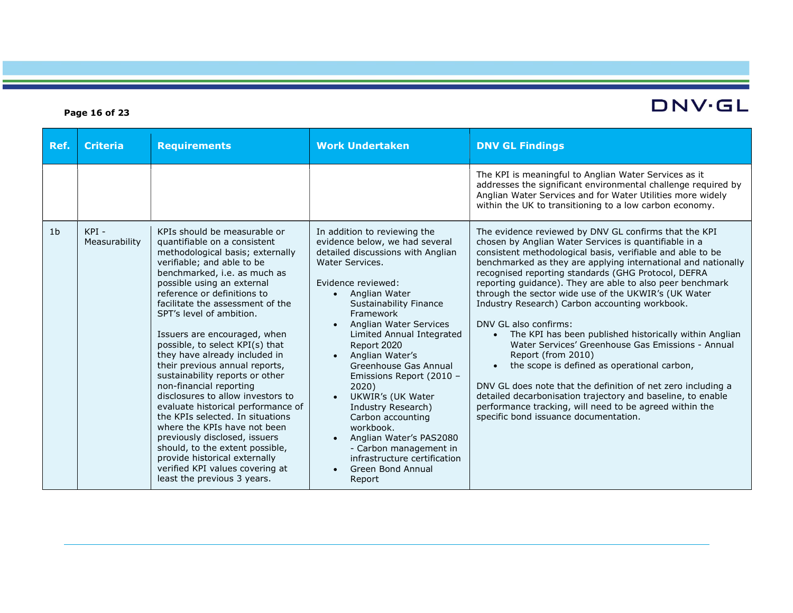#### Ref. Criteria Requirements Work Undertaken DNV GL Findings The KPI is meaningful to Anglian Water Services as it addresses the significant environmental challenge required by Anglian Water Services and for Water Utilities more widely within the UK to transitioning to a low carbon economy.  $1b$  KPI -Measurability KPIs should be measurable or quantifiable on a consistent methodological basis; externally verifiable; and able to be benchmarked, i.e. as much as possible using an external reference or definitions to facilitate the assessment of the SPT's level of ambition. Issuers are encouraged, when possible, to select KPI(s) that they have already included in their previous annual reports, sustainability reports or other non-financial reporting disclosures to allow investors to evaluate historical performance of the KPIs selected. In situations where the KPIs have not been previously disclosed, issuers should, to the extent possible, provide historical externally verified KPI values covering at least the previous 3 years. In addition to reviewing the evidence below, we had several detailed discussions with Anglian Water Services. Evidence reviewed: • Anglian Water Sustainability Finance Framework • Anglian Water Services Limited Annual Integrated Report 2020 Anglian Water's Greenhouse Gas Annual Emissions Report (2010 – 2020) UKWIR's (UK Water Industry Research) Carbon accounting workbook. • Anglian Water's PAS2080 - Carbon management in infrastructure certification • Green Bond Annual Report The evidence reviewed by DNV GL confirms that the KPI chosen by Anglian Water Services is quantifiable in a consistent methodological basis, verifiable and able to be benchmarked as they are applying international and nationally recognised reporting standards (GHG Protocol, DEFRA reporting guidance). They are able to also peer benchmark through the sector wide use of the UKWIR's (UK Water Industry Research) Carbon accounting workbook. DNV GL also confirms: The KPI has been published historically within Anglian Water Services' Greenhouse Gas Emissions - Annual Report (from 2010) • the scope is defined as operational carbon, DNV GL does note that the definition of net zero including a detailed decarbonisation trajectory and baseline, to enable performance tracking, will need to be agreed within the specific bond issuance documentation.

#### Page 16 of 23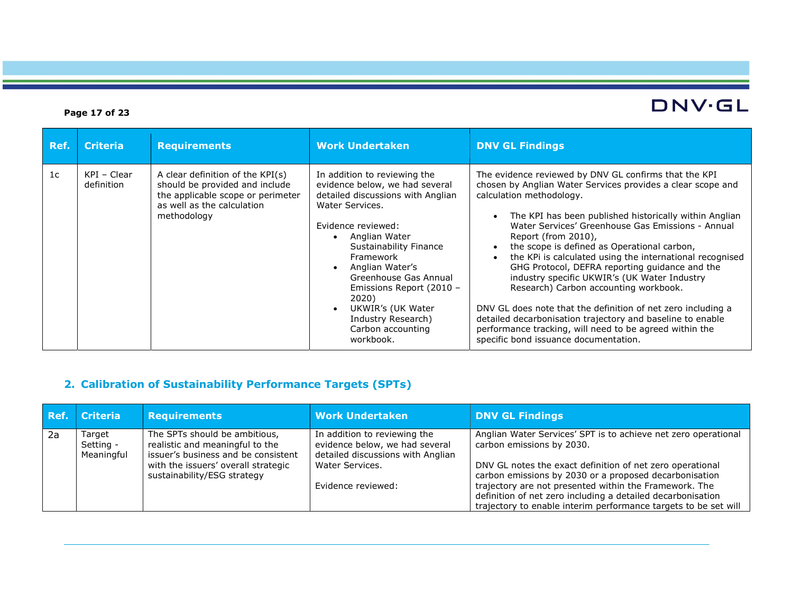### Page 17 of 23

| Ref. | <b>Criteria</b>             | <b>Requirements</b>                                                                                                                                  | <b>Work Undertaken</b>                                                                                                                                                                                                                                                                                                                                             | <b>DNV GL Findings</b>                                                                                                                                                                                                                                                                                                                                                                                                                                                                                                                                                                                                                                                                                                                                                         |
|------|-----------------------------|------------------------------------------------------------------------------------------------------------------------------------------------------|--------------------------------------------------------------------------------------------------------------------------------------------------------------------------------------------------------------------------------------------------------------------------------------------------------------------------------------------------------------------|--------------------------------------------------------------------------------------------------------------------------------------------------------------------------------------------------------------------------------------------------------------------------------------------------------------------------------------------------------------------------------------------------------------------------------------------------------------------------------------------------------------------------------------------------------------------------------------------------------------------------------------------------------------------------------------------------------------------------------------------------------------------------------|
| 1c   | $KPI - Clear$<br>definition | A clear definition of the KPI(s)<br>should be provided and include<br>the applicable scope or perimeter<br>as well as the calculation<br>methodology | In addition to reviewing the<br>evidence below, we had several<br>detailed discussions with Anglian<br>Water Services.<br>Evidence reviewed:<br>Anglian Water<br>Sustainability Finance<br>Framework<br>Anglian Water's<br>Greenhouse Gas Annual<br>Emissions Report (2010 -<br>2020)<br>UKWIR's (UK Water<br>Industry Research)<br>Carbon accounting<br>workbook. | The evidence reviewed by DNV GL confirms that the KPI<br>chosen by Anglian Water Services provides a clear scope and<br>calculation methodology.<br>The KPI has been published historically within Anglian<br>Water Services' Greenhouse Gas Emissions - Annual<br>Report (from 2010),<br>the scope is defined as Operational carbon,<br>the KPi is calculated using the international recognised<br>GHG Protocol, DEFRA reporting guidance and the<br>industry specific UKWIR's (UK Water Industry<br>Research) Carbon accounting workbook.<br>DNV GL does note that the definition of net zero including a<br>detailed decarbonisation trajectory and baseline to enable<br>performance tracking, will need to be agreed within the<br>specific bond issuance documentation. |

# 2. Calibration of Sustainability Performance Targets (SPTs)

| Ref. | Criteria                          | <b>Requirements</b>                                                                                     | <b>Work Undertaken</b>                                                                              | <b>DNV GL Findings</b>                                                                                                                                                                   |
|------|-----------------------------------|---------------------------------------------------------------------------------------------------------|-----------------------------------------------------------------------------------------------------|------------------------------------------------------------------------------------------------------------------------------------------------------------------------------------------|
| 2a   | Target<br>Setting -<br>Meaningful | The SPTs should be ambitious,<br>realistic and meaningful to the<br>issuer's business and be consistent | In addition to reviewing the<br>evidence below, we had several<br>detailed discussions with Anglian | Anglian Water Services' SPT is to achieve net zero operational<br>carbon emissions by 2030.                                                                                              |
|      |                                   | with the issuers' overall strategic<br>sustainability/ESG strategy                                      | Water Services.                                                                                     | DNV GL notes the exact definition of net zero operational<br>carbon emissions by 2030 or a proposed decarbonisation                                                                      |
|      |                                   |                                                                                                         | Evidence reviewed:                                                                                  | trajectory are not presented within the Framework. The<br>definition of net zero including a detailed decarbonisation<br>trajectory to enable interim performance targets to be set will |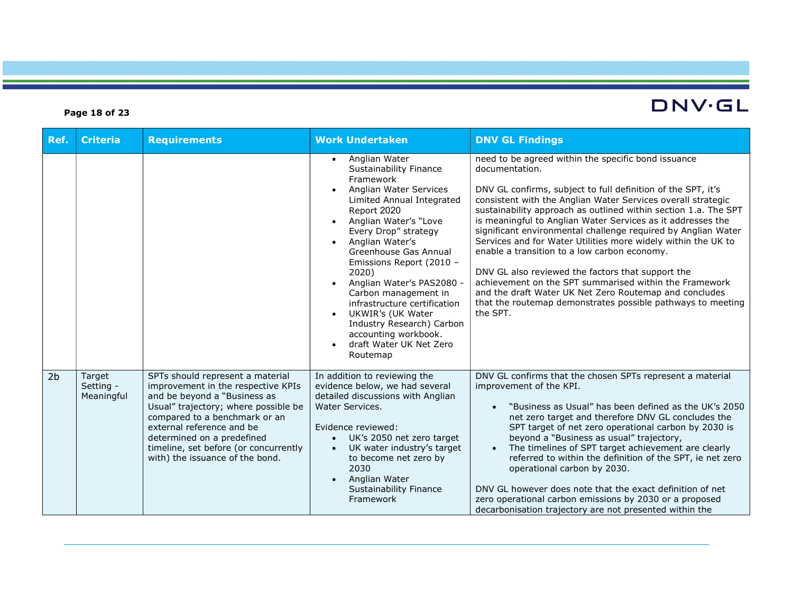#### Ref. Criteria Requirements Work Undertaken DNV GL Findings Anglian Water Sustainability Finance Framework • Anglian Water Services Limited Annual Integrated Report 2020 Anglian Water's "Love Every Drop" strategy Anglian Water's Greenhouse Gas Annual Emissions Report (2010 – 2020) Anglian Water's PAS2080 - Carbon management in infrastructure certification UKWIR's (UK Water Industry Research) Carbon accounting workbook. draft Water UK Net Zero Routemap need to be agreed within the specific bond issuance documentation. DNV GL confirms, subject to full definition of the SPT, it's consistent with the Anglian Water Services overall strategic sustainability approach as outlined within section 1.a. The SPT is meaningful to Anglian Water Services as it addresses the significant environmental challenge required by Anglian Water Services and for Water Utilities more widely within the UK to enable a transition to a low carbon economy. DNV GL also reviewed the factors that support the achievement on the SPT summarised within the Framework and the draft Water UK Net Zero Routemap and concludes that the routemap demonstrates possible pathways to meeting the SPT. 2b Target Setting - Meaningful SPTs should represent a material improvement in the respective KPIs and be beyond a "Business as Usual" trajectory; where possible be compared to a benchmark or an external reference and be determined on a predefined timeline, set before (or concurrently with) the issuance of the bond. In addition to reviewing the evidence below, we had several detailed discussions with Anglian Water Services. Evidence reviewed: UK's 2050 net zero target UK water industry's target to become net zero by 2030 • Anglian Water Sustainability Finance Framework DNV GL confirms that the chosen SPTs represent a material improvement of the KPI. "Business as Usual" has been defined as the UK's 2050 net zero target and therefore DNV GL concludes the SPT target of net zero operational carbon by 2030 is beyond a "Business as usual" trajectory, • The timelines of SPT target achievement are clearly referred to within the definition of the SPT, ie net zero operational carbon by 2030. DNV GL however does note that the exact definition of net zero operational carbon emissions by 2030 or a proposed decarbonisation trajectory are not presented within the

#### Page 18 of 23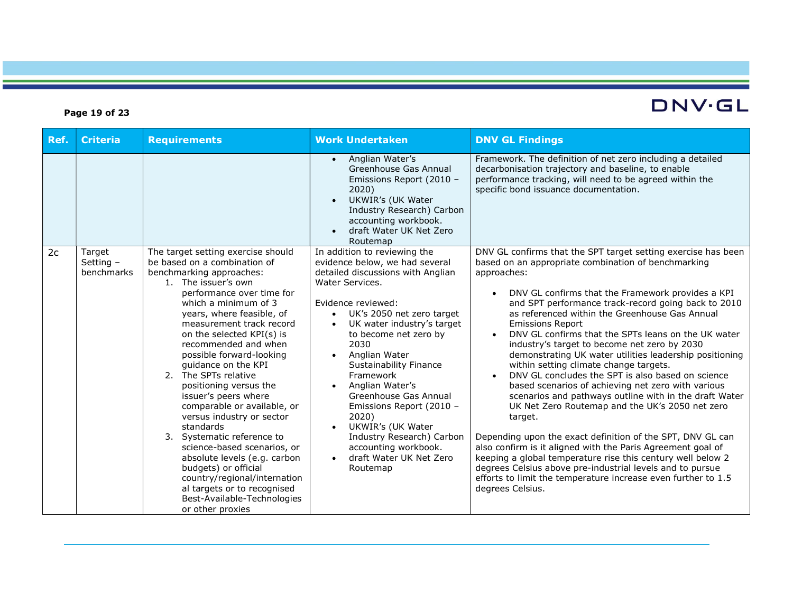#### Ref. Criteria Requirements Work Undertaken DNV GL Findings Anglian Water's Greenhouse Gas Annual Emissions Report (2010 – 2020) UKWIR's (UK Water Industry Research) Carbon accounting workbook. draft Water UK Net Zero Routemap Framework. The definition of net zero including a detailed decarbonisation trajectory and baseline, to enable performance tracking, will need to be agreed within the specific bond issuance documentation. 2c Target Setting – benchmarks The target setting exercise should be based on a combination of benchmarking approaches: 1. The issuer's own performance over time for which a minimum of 3 years, where feasible, of measurement track record on the selected KPI(s) is recommended and when possible forward-looking guidance on the KPI 2. The SPTs relative positioning versus the issuer's peers where comparable or available, or versus industry or sector standards 3. Systematic reference to science-based scenarios, or absolute levels (e.g. carbon budgets) or official country/regional/internation al targets or to recognised Best-Available-Technologies or other proxies In addition to reviewing the evidence below, we had several detailed discussions with Anglian Water Services. Evidence reviewed: UK's 2050 net zero target UK water industry's target to become net zero by 2030 • Anglian Water Sustainability Finance Framework Anglian Water's Greenhouse Gas Annual Emissions Report (2010 – 2020) UKWIR's (UK Water Industry Research) Carbon accounting workbook. draft Water UK Net Zero Routemap DNV GL confirms that the SPT target setting exercise has been based on an appropriate combination of benchmarking approaches: DNV GL confirms that the Framework provides a KPI and SPT performance track-record going back to 2010 as referenced within the Greenhouse Gas Annual Emissions Report DNV GL confirms that the SPTs leans on the UK water industry's target to become net zero by 2030 demonstrating UK water utilities leadership positioning within setting climate change targets. DNV GL concludes the SPT is also based on science based scenarios of achieving net zero with various scenarios and pathways outline with in the draft Water UK Net Zero Routemap and the UK's 2050 net zero target. Depending upon the exact definition of the SPT, DNV GL can also confirm is it aligned with the Paris Agreement goal of keeping a global temperature rise this century well below 2 degrees Celsius above pre-industrial levels and to pursue efforts to limit the temperature increase even further to 1.5 degrees Celsius.

#### Page 19 of 23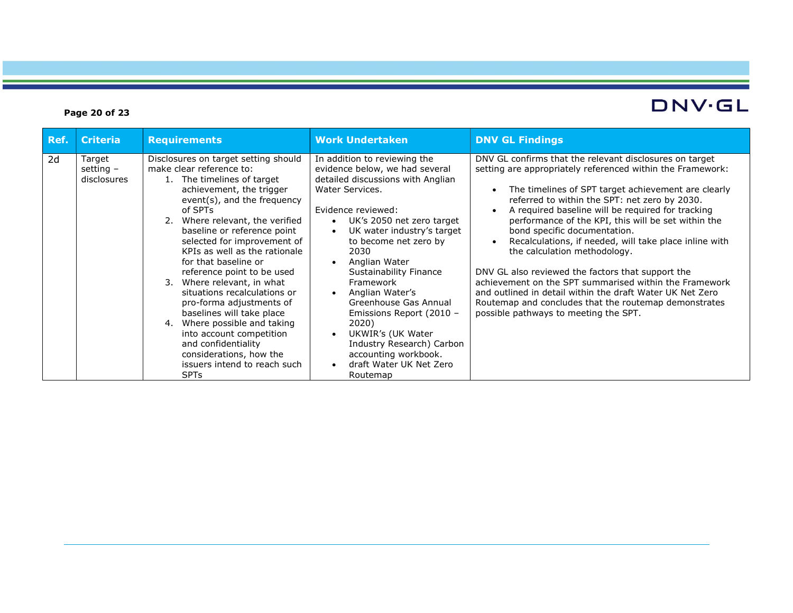### Page 20 of 23

| Ref. | <b>Criteria</b>                      | <b>Requirements</b>                                                                                                                                                                                                                                                                                                                                                                                                                                                                                                                                                                                                                                 | <b>Work Undertaken</b>                                                                                                                                                                                                                                                                                                                                                                                                                                                                                          | <b>DNV GL Findings</b>                                                                                                                                                                                                                                                                                                                                                                                                                                                                                                                                                                                                                                                                                                                            |
|------|--------------------------------------|-----------------------------------------------------------------------------------------------------------------------------------------------------------------------------------------------------------------------------------------------------------------------------------------------------------------------------------------------------------------------------------------------------------------------------------------------------------------------------------------------------------------------------------------------------------------------------------------------------------------------------------------------------|-----------------------------------------------------------------------------------------------------------------------------------------------------------------------------------------------------------------------------------------------------------------------------------------------------------------------------------------------------------------------------------------------------------------------------------------------------------------------------------------------------------------|---------------------------------------------------------------------------------------------------------------------------------------------------------------------------------------------------------------------------------------------------------------------------------------------------------------------------------------------------------------------------------------------------------------------------------------------------------------------------------------------------------------------------------------------------------------------------------------------------------------------------------------------------------------------------------------------------------------------------------------------------|
| 2d   | Target<br>setting $-$<br>disclosures | Disclosures on target setting should<br>make clear reference to:<br>1. The timelines of target<br>achievement, the trigger<br>event(s), and the frequency<br>of SPTs<br>2. Where relevant, the verified<br>baseline or reference point<br>selected for improvement of<br>KPIs as well as the rationale<br>for that baseline or<br>reference point to be used<br>3. Where relevant, in what<br>situations recalculations or<br>pro-forma adjustments of<br>baselines will take place<br>Where possible and taking<br>4.<br>into account competition<br>and confidentiality<br>considerations, how the<br>issuers intend to reach such<br><b>SPTs</b> | In addition to reviewing the<br>evidence below, we had several<br>detailed discussions with Anglian<br>Water Services.<br>Evidence reviewed:<br>UK's 2050 net zero target<br>$\bullet$<br>UK water industry's target<br>to become net zero by<br>2030<br>Anglian Water<br>Sustainability Finance<br>Framework<br>Anglian Water's<br>Greenhouse Gas Annual<br>Emissions Report (2010 -<br>2020)<br>UKWIR's (UK Water<br>Industry Research) Carbon<br>accounting workbook.<br>draft Water UK Net Zero<br>Routemap | DNV GL confirms that the relevant disclosures on target<br>setting are appropriately referenced within the Framework:<br>The timelines of SPT target achievement are clearly<br>referred to within the SPT: net zero by 2030.<br>A required baseline will be required for tracking<br>performance of the KPI, this will be set within the<br>bond specific documentation.<br>Recalculations, if needed, will take place inline with<br>the calculation methodology.<br>DNV GL also reviewed the factors that support the<br>achievement on the SPT summarised within the Framework<br>and outlined in detail within the draft Water UK Net Zero<br>Routemap and concludes that the routemap demonstrates<br>possible pathways to meeting the SPT. |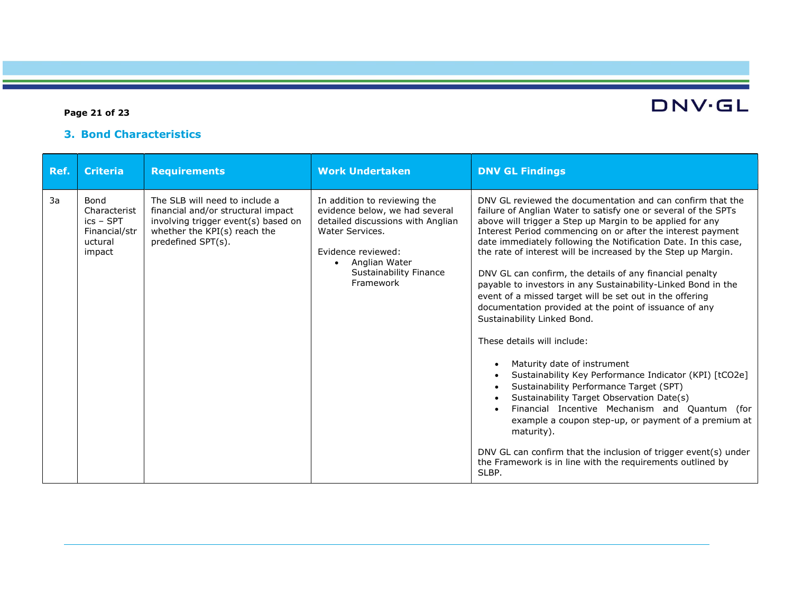### Page 21 of 23

# DNV·GL

## 3. Bond Characteristics

| Ref. | <b>Criteria</b>                                                                  | <b>Requirements</b>                                                                                                                                               | <b>Work Undertaken</b>                                                                                                                                                                               | <b>DNV GL Findings</b>                                                                                                                                                                                                                                                                                                                                                                                                                                                                                                                                                                                                                                                                                                                                                                                                                                                                                                                                                                                                                                                                                                                                                                                  |
|------|----------------------------------------------------------------------------------|-------------------------------------------------------------------------------------------------------------------------------------------------------------------|------------------------------------------------------------------------------------------------------------------------------------------------------------------------------------------------------|---------------------------------------------------------------------------------------------------------------------------------------------------------------------------------------------------------------------------------------------------------------------------------------------------------------------------------------------------------------------------------------------------------------------------------------------------------------------------------------------------------------------------------------------------------------------------------------------------------------------------------------------------------------------------------------------------------------------------------------------------------------------------------------------------------------------------------------------------------------------------------------------------------------------------------------------------------------------------------------------------------------------------------------------------------------------------------------------------------------------------------------------------------------------------------------------------------|
| 3a   | <b>Bond</b><br>Characterist<br>$ics - SPT$<br>Financial/str<br>uctural<br>impact | The SLB will need to include a<br>financial and/or structural impact<br>involving trigger event(s) based on<br>whether the KPI(s) reach the<br>predefined SPT(s). | In addition to reviewing the<br>evidence below, we had several<br>detailed discussions with Anglian<br>Water Services.<br>Evidence reviewed:<br>Anglian Water<br>Sustainability Finance<br>Framework | DNV GL reviewed the documentation and can confirm that the<br>failure of Anglian Water to satisfy one or several of the SPTs<br>above will trigger a Step up Margin to be applied for any<br>Interest Period commencing on or after the interest payment<br>date immediately following the Notification Date. In this case,<br>the rate of interest will be increased by the Step up Margin.<br>DNV GL can confirm, the details of any financial penalty<br>payable to investors in any Sustainability-Linked Bond in the<br>event of a missed target will be set out in the offering<br>documentation provided at the point of issuance of any<br>Sustainability Linked Bond.<br>These details will include:<br>Maturity date of instrument<br>$\bullet$<br>Sustainability Key Performance Indicator (KPI) [tCO2e]<br>$\bullet$<br>Sustainability Performance Target (SPT)<br>Sustainability Target Observation Date(s)<br>$\bullet$<br>Financial Incentive Mechanism and Quantum (for<br>example a coupon step-up, or payment of a premium at<br>maturity).<br>DNV GL can confirm that the inclusion of trigger event(s) under<br>the Framework is in line with the requirements outlined by<br>SLBP. |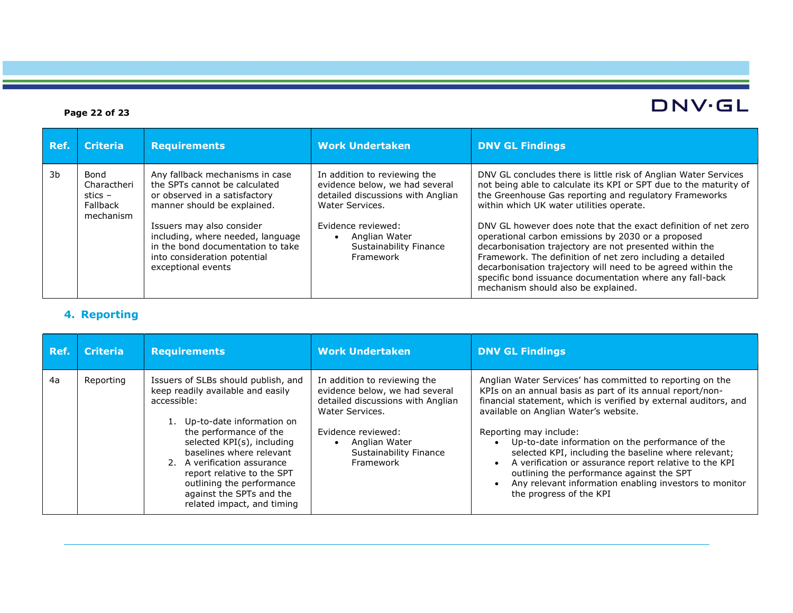#### Ref. Criteria Requirements Work Undertaken DNV GL Findings 3b Bond Charactheri stics – Fallback mechanism Any fallback mechanisms in case the SPTs cannot be calculated or observed in a satisfactory manner should be explained. Issuers may also consider including, where needed, language in the bond documentation to take into consideration potential exceptional events In addition to reviewing the evidence below, we had several detailed discussions with Anglian Water Services. Evidence reviewed: • Anglian Water Sustainability Finance Framework DNV GL concludes there is little risk of Anglian Water Services not being able to calculate its KPI or SPT due to the maturity of the Greenhouse Gas reporting and regulatory Frameworks within which UK water utilities operate. DNV GL however does note that the exact definition of net zero operational carbon emissions by 2030 or a proposed decarbonisation trajectory are not presented within the Framework. The definition of net zero including a detailed decarbonisation trajectory will need to be agreed within the specific bond issuance documentation where any fall-back mechanism should also be explained.

#### 4. Reporting

| Ref. | <b>Criteria</b> | <b>Requirements</b>                                                                                                                                                                                                                                                                                                                                             | <b>Work Undertaken</b>                                                                                                                                                                                      | <b>DNV GL Findings</b>                                                                                                                                                                                                                                                                                                                                                                                                                                                                                                                                                                          |
|------|-----------------|-----------------------------------------------------------------------------------------------------------------------------------------------------------------------------------------------------------------------------------------------------------------------------------------------------------------------------------------------------------------|-------------------------------------------------------------------------------------------------------------------------------------------------------------------------------------------------------------|-------------------------------------------------------------------------------------------------------------------------------------------------------------------------------------------------------------------------------------------------------------------------------------------------------------------------------------------------------------------------------------------------------------------------------------------------------------------------------------------------------------------------------------------------------------------------------------------------|
| 4a   | Reporting       | Issuers of SLBs should publish, and<br>keep readily available and easily<br>accessible:<br>1. Up-to-date information on<br>the performance of the<br>selected KPI(s), including<br>baselines where relevant<br>2. A verification assurance<br>report relative to the SPT<br>outlining the performance<br>against the SPTs and the<br>related impact, and timing | In addition to reviewing the<br>evidence below, we had several<br>detailed discussions with Anglian<br>Water Services.<br>Evidence reviewed:<br>Anglian Water<br><b>Sustainability Finance</b><br>Framework | Anglian Water Services' has committed to reporting on the<br>KPIs on an annual basis as part of its annual report/non-<br>financial statement, which is verified by external auditors, and<br>available on Anglian Water's website.<br>Reporting may include:<br>Up-to-date information on the performance of the<br>$\bullet$<br>selected KPI, including the baseline where relevant;<br>A verification or assurance report relative to the KPI<br>$\bullet$<br>outlining the performance against the SPT<br>Any relevant information enabling investors to monitor<br>the progress of the KPI |

#### Page 22 of 23